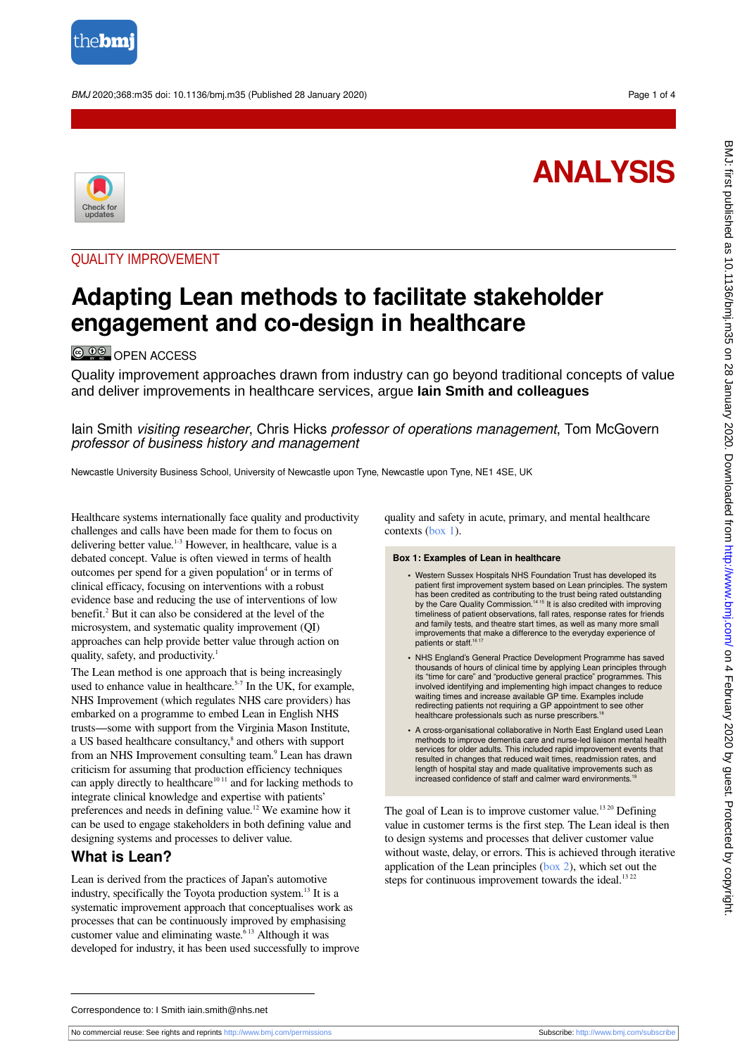

BMJ 2020;368:m35 doi: 10.1136/bmj.m35 (Published 28 January 2020) Page 1 of 4

# **ANALYSIS**



## QUALITY IMPROVEMENT

# **Adapting Lean methods to facilitate stakeholder engagement and co-design in healthcare**

**© 09** [OPEN ACCESS](http://creativecommons.org/licenses/by-nc/4.0/)

Quality improvement approaches drawn from industry can go beyond traditional concepts of value and deliver improvements in healthcare services, argue **Iain Smith and colleagues**

lain Smith *visiting researcher*, Chris Hicks *professor of operations management*, Tom McGovern professor of business history and management

Newcastle University Business School, University of Newcastle upon Tyne, Newcastle upon Tyne, NE1 4SE, UK

Healthcare systems internationally face quality and productivity challenges and calls have been made for them to focus on delivering better value.1-3 However, in healthcare, value is a debated concept. Value is often viewed in terms of health outcomes per spend for a given population<sup>4</sup> or in terms of clinical efficacy, focusing on interventions with a robust evidence base and reducing the use of interventions of low benefit.<sup>2</sup> But it can also be considered at the level of the microsystem, and systematic quality improvement (QI) approaches can help provide better value through action on quality, safety, and productivity.<sup>1</sup>

The Lean method is one approach that is being increasingly used to enhance value in healthcare.<sup>5-7</sup> In the UK, for example, NHS Improvement (which regulates NHS care providers) has embarked on a programme to embed Lean in English NHS trusts—some with support from the Virginia Mason Institute, a US based healthcare consultancy,<sup>8</sup> and others with support from an NHS Improvement consulting team.<sup>9</sup> Lean has drawn criticism for assuming that production efficiency techniques can apply directly to healthcare $1011$  and for lacking methods to integrate clinical knowledge and expertise with patients' preferences and needs in defining value.<sup>12</sup> We examine how it can be used to engage stakeholders in both defining value and designing systems and processes to deliver value.

#### **What is Lean?**

Lean is derived from the practices of Japan's automotive industry, specifically the Toyota production system.<sup>13</sup> It is a systematic improvement approach that conceptualises work as processes that can be continuously improved by emphasising customer value and eliminating waste. $613$  Although it was developed for industry, it has been used successfully to improve

<span id="page-0-0"></span>quality and safety in acute, primary, and mental healthcare contexts [\(box 1\)](#page-0-0).

#### **Box 1: Examples of Lean in healthcare**

- **•** Western Sussex Hospitals NHS Foundation Trust has developed its patient first improvement system based on Lean principles. The system has been credited as contributing to the trust being rated outstanding<br>by the Care Quality Commission.<sup>1415</sup> It is also credited with improving timeliness of patient observations, fall rates, response rates for friends and family tests, and theatre start times, as well as many more small improvements that make a difference to the everyday experience of patients or staff.<sup>16</sup>
- **•** NHS England's General Practice Development Programme has saved thousands of hours of clinical time by applying Lean principles through its "time for care" and "productive general practice" programmes. This involved identifying and implementing high impact changes to reduce waiting times and increase available GP time. Examples include redirecting patients not requiring a GP appointment to see other healthcare professionals such as nurse prescribers.
- **•** A cross-organisational collaborative in North East England used Lean methods to improve dementia care and nurse-led liaison mental health services for older adults. This included rapid improvement events that resulted in changes that reduced wait times, readmission rates, and length of hospital stay and made qualitative improvements such as<br>increased confidence of staff and calmer ward environments.<sup>19</sup>

The goal of Lean is to improve customer value.<sup>1320</sup> Defining value in customer terms is the first step. The Lean ideal is then to design systems and processes that deliver customer value without waste, delay, or errors. This is achieved through iterative application of the Lean principles [\(box 2\)](#page-1-0), which set out the steps for continuous improvement towards the ideal. $1322$ 

Correspondence to: I Smith iain.smith@nhs.net

No commercial reuse: See rights and reprints <http://www.bmj.com/permissions> Subscribe: <http://www.bmj.com/subscribe>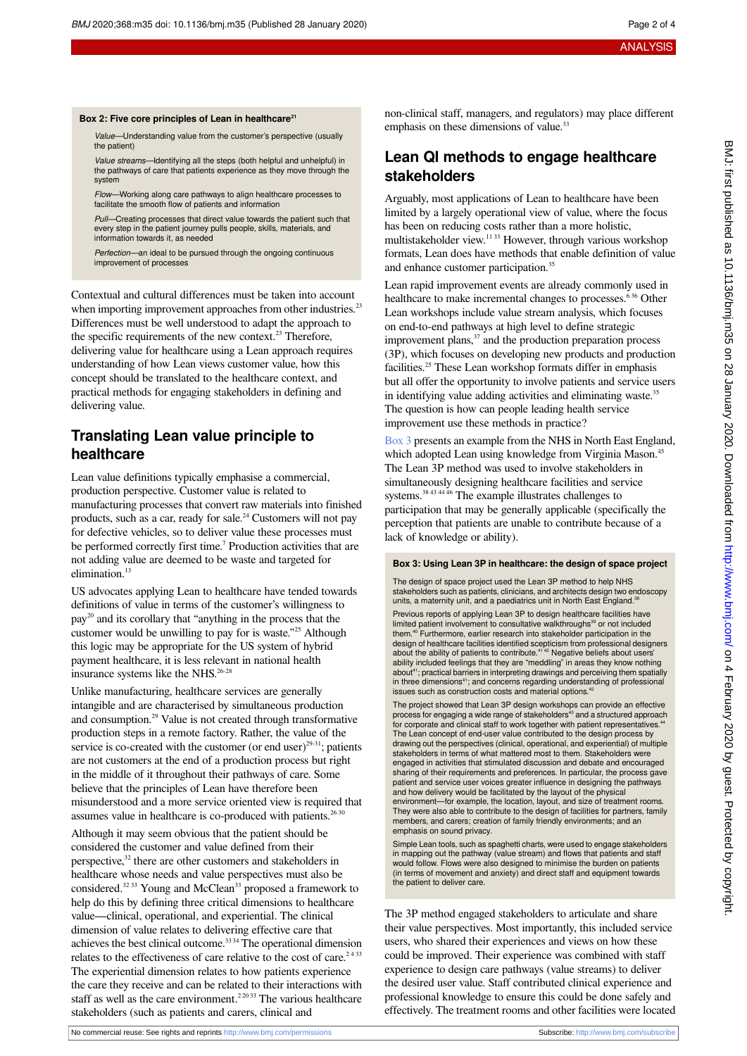Value—Understanding value from the customer's perspective (usually

Value streams—Identifying all the steps (both helpful and unhelpful) in the pathways of care that patients experience as they move through the

<span id="page-1-0"></span>**Box 2: Five core principles of Lean in healthcare<sup>21</sup>**

the patient)

system

#### Flow—Working along care pathways to align healthcare processes to facilitate the smooth flow of patients and information Pull—Creating processes that direct value towards the patient such that every step in the patient journey pulls people, skills, materials, and information towards it, as needed Perfection—an ideal to be pursued through the ongoing continuous improvement of processes Contextual and cultural differences must be taken into account when importing improvement approaches from other industries.<sup>23</sup> Differences must be well understood to adapt the approach to the specific requirements of the new context.<sup>23</sup> Therefore, delivering value for healthcare using a Lean approach requires understanding of how Lean views customer value, how this concept should be translated to the healthcare context, and practical methods for engaging stakeholders in defining and delivering value.

## **Translating Lean value principle to healthcare**

Lean value definitions typically emphasise a commercial, production perspective. Customer value is related to manufacturing processes that convert raw materials into finished products, such as a car, ready for sale.<sup>24</sup> Customers will not pay for defective vehicles, so to deliver value these processes must be performed correctly first time.<sup>7</sup> Production activities that are not adding value are deemed to be waste and targeted for elimination.<sup>13</sup>

US advocates applying Lean to healthcare have tended towards definitions of value in terms of the customer's willingness to pay<sup>20</sup> and its corollary that "anything in the process that the customer would be unwilling to pay for is waste."<sup>25</sup> Although this logic may be appropriate for the US system of hybrid payment healthcare, it is less relevant in national health insurance systems like the NHS.<sup>26-28</sup>

Unlike manufacturing, healthcare services are generally intangible and are characterised by simultaneous production and consumption.<sup>29</sup> Value is not created through transformative production steps in a remote factory. Rather, the value of the service is co-created with the customer (or end user) $^{29-31}$ ; patients are not customers at the end of a production process but right in the middle of it throughout their pathways of care. Some believe that the principles of Lean have therefore been misunderstood and a more service oriented view is required that assumes value in healthcare is co-produced with patients. $2630$ 

Although it may seem obvious that the patient should be considered the customer and value defined from their perspective,<sup>32</sup> there are other customers and stakeholders in healthcare whose needs and value perspectives must also be considered.<sup>32 33</sup> Young and McClean<sup>33</sup> proposed a framework to help do this by defining three critical dimensions to healthcare value—clinical, operational, and experiential. The clinical dimension of value relates to delivering effective care that achieves the best clinical outcome.<sup>3334</sup> The operational dimension relates to the effectiveness of care relative to the cost of care.<sup>2433</sup> The experiential dimension relates to how patients experience the care they receive and can be related to their interactions with staff as well as the care environment.<sup>22033</sup> The various healthcare stakeholders (such as patients and carers, clinical and

non-clinical staff, managers, and regulators) may place different emphasis on these dimensions of value.<sup>33</sup>

# **Lean QI methods to engage healthcare stakeholders**

Arguably, most applications of Lean to healthcare have been limited by a largely operational view of value, where the focus has been on reducing costs rather than a more holistic, multistakeholder view.11 33 However, through various workshop formats, Lean does have methods that enable definition of value and enhance customer participation.<sup>35</sup>

Lean rapid improvement events are already commonly used in healthcare to make incremental changes to processes.<sup>636</sup> Other Lean workshops include value stream analysis, which focuses on end-to-end pathways at high level to define strategic improvement plans,<sup>37</sup> and the production preparation process (3P), which focuses on developing new products and production facilities.<sup>25</sup> These Lean workshop formats differ in emphasis but all offer the opportunity to involve patients and service users in identifying value adding activities and eliminating waste.<sup>35</sup> The question is how can people leading health service improvement use these methods in practice?

[Box 3](#page-1-1) presents an example from the NHS in North East England, which adopted Lean using knowledge from Virginia Mason.<sup>45</sup> The Lean 3P method was used to involve stakeholders in simultaneously designing healthcare facilities and service systems.38 43 44 46 The example illustrates challenges to participation that may be generally applicable (specifically the perception that patients are unable to contribute because of a lack of knowledge or ability).

#### <span id="page-1-1"></span>**Box 3: Using Lean 3P in healthcare: the design of space project**

The design of space project used the Lean 3P method to help NHS stakeholders such as patients, clinicians, and architects design two endoscopy units, a maternity unit, and a paediatrics unit in North East England.<sup>36</sup> Previous reports of applying Lean 3P to design healthcare facilities have limited patient involvement to consultative walkthroughs<sup>39</sup> or not included them.<sup>40</sup> Furthermore, earlier research into stakeholder participation in the design of healthcare facilities identified scepticism from professional designers<br>about the ability of patients to contribute.<sup>41 42</sup> Negative beliefs about users' ability included feelings that they are "meddling" in areas they know nothing<br>about<sup>41</sup>; practical barriers in interpreting drawings and perceiving them spatially in three dimensions<sup>41</sup>; and concerns regarding understanding of professional issues such as construction costs and material options.

The project showed that Lean 3P design workshops can provide an effective process for engaging a wide range of stakeholders<sup>43</sup> and a structured approach for corporate and clinical staff to work together with patient representatives.<sup>44</sup> The Lean concept of end-user value contributed to the design process by drawing out the perspectives (clinical, operational, and experiential) of multiple stakeholders in terms of what mattered most to them. Stakeholders were engaged in activities that stimulated discussion and debate and encouraged sharing of their requirements and preferences. In particular, the process gave patient and service user voices greater influence in designing the pathways and how delivery would be facilitated by the layout of the physical environment—for example, the location, layout, and size of treatment rooms. They were also able to contribute to the design of facilities for partners, family members, and carers; creation of family friendly environments; and an emphasis on sound privacy.

Simple Lean tools, such as spaghetti charts, were used to engage stakeholders in mapping out the pathway (value stream) and flows that patients and staff would follow. Flows were also designed to minimise the burden on patients (in terms of movement and anxiety) and direct staff and equipment towards the patient to deliver care.

The 3P method engaged stakeholders to articulate and share their value perspectives. Most importantly, this included service users, who shared their experiences and views on how these could be improved. Their experience was combined with staff experience to design care pathways (value streams) to deliver the desired user value. Staff contributed clinical experience and professional knowledge to ensure this could be done safely and effectively. The treatment rooms and other facilities were located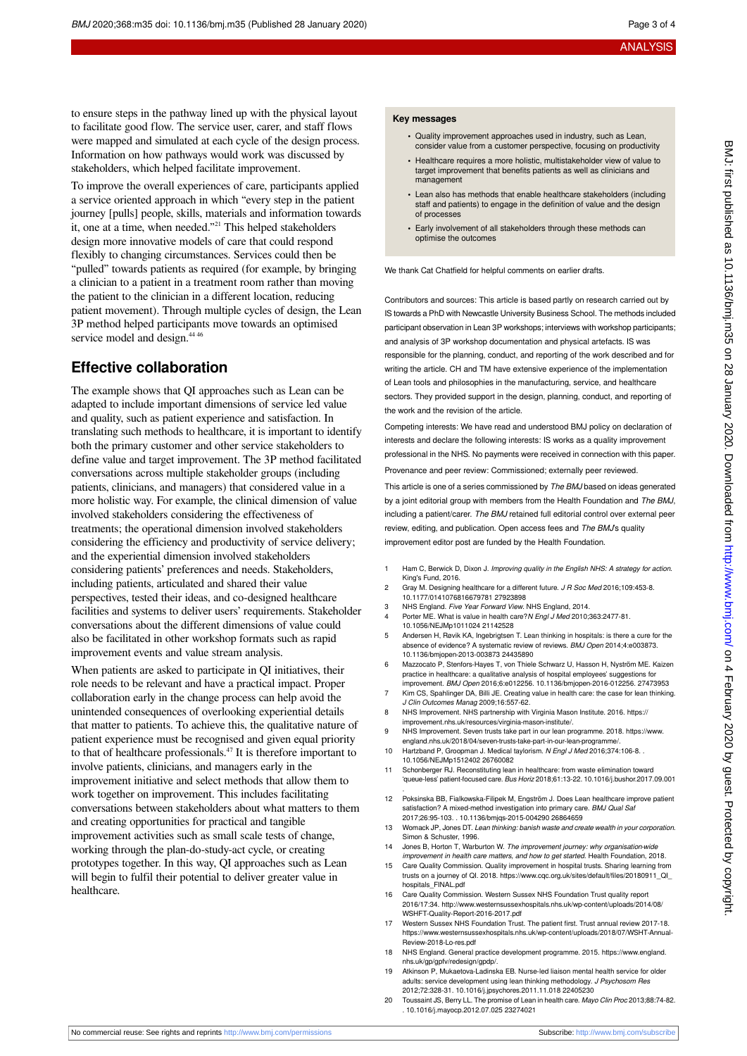BMJ: first published as 10.1136/bmj.m35 on 28 January 2020. Downloaded from http://www.bmj.com/ on 4 February 2020 by guest. Protected by copyright on 4 February 2020 by guest. Protected by copyright. <http://www.bmj.com/> BMJ: first published as 10.1136/bmj.m35 on 28 January 2020. Downloaded from

to ensure steps in the pathway lined up with the physical layout to facilitate good flow. The service user, carer, and staff flows were mapped and simulated at each cycle of the design process. Information on how pathways would work was discussed by stakeholders, which helped facilitate improvement.

To improve the overall experiences of care, participants applied a service oriented approach in which "every step in the patient journey [pulls] people, skills, materials and information towards it, one at a time, when needed."<sup>21</sup> This helped stakeholders design more innovative models of care that could respond flexibly to changing circumstances. Services could then be "pulled" towards patients as required (for example, by bringing a clinician to a patient in a treatment room rather than moving the patient to the clinician in a different location, reducing patient movement). Through multiple cycles of design, the Lean 3P method helped participants move towards an optimised service model and design.<sup>44 46</sup>

#### **Effective collaboration**

The example shows that QI approaches such as Lean can be adapted to include important dimensions of service led value and quality, such as patient experience and satisfaction. In translating such methods to healthcare, it is important to identify both the primary customer and other service stakeholders to define value and target improvement. The 3P method facilitated conversations across multiple stakeholder groups (including patients, clinicians, and managers) that considered value in a more holistic way. For example, the clinical dimension of value involved stakeholders considering the effectiveness of treatments; the operational dimension involved stakeholders considering the efficiency and productivity of service delivery; and the experiential dimension involved stakeholders considering patients' preferences and needs. Stakeholders, including patients, articulated and shared their value perspectives, tested their ideas, and co-designed healthcare facilities and systems to deliver users' requirements. Stakeholder conversations about the different dimensions of value could also be facilitated in other workshop formats such as rapid improvement events and value stream analysis.

When patients are asked to participate in QI initiatives, their role needs to be relevant and have a practical impact. Proper collaboration early in the change process can help avoid the unintended consequences of overlooking experiential details that matter to patients. To achieve this, the qualitative nature of patient experience must be recognised and given equal priority to that of healthcare professionals.<sup>47</sup> It is therefore important to involve patients, clinicians, and managers early in the improvement initiative and select methods that allow them to work together on improvement. This includes facilitating conversations between stakeholders about what matters to them and creating opportunities for practical and tangible improvement activities such as small scale tests of change, working through the plan-do-study-act cycle, or creating prototypes together. In this way, QI approaches such as Lean will begin to fulfil their potential to deliver greater value in healthcare.

#### **Key messages**

- **•** Quality improvement approaches used in industry, such as Lean, consider value from a customer perspective, focusing on productivity
- **•** Healthcare requires a more holistic, multistakeholder view of value to target improvement that benefits patients as well as clinicians and management
- **•** Lean also has methods that enable healthcare stakeholders (including staff and patients) to engage in the definition of value and the design of processes
- **•** Early involvement of all stakeholders through these methods can optimise the outcomes

We thank Cat Chatfield for helpful comments on earlier drafts.

Contributors and sources: This article is based partly on research carried out by IS towards a PhD with Newcastle University Business School. The methods included participant observation in Lean 3P workshops; interviews with workshop participants; and analysis of 3P workshop documentation and physical artefacts. IS was responsible for the planning, conduct, and reporting of the work described and for writing the article. CH and TM have extensive experience of the implementation of Lean tools and philosophies in the manufacturing, service, and healthcare sectors. They provided support in the design, planning, conduct, and reporting of the work and the revision of the article.

Competing interests: We have read and understood BMJ policy on declaration of interests and declare the following interests: IS works as a quality improvement professional in the NHS. No payments were received in connection with this paper.

Provenance and peer review: Commissioned; externally peer reviewed.

This article is one of a series commissioned by The BMJ based on ideas generated by a joint editorial group with members from the Health Foundation and The BMJ. including a patient/carer. The BMJ retained full editorial control over external peer review, editing, and publication. Open access fees and The BMJ's quality improvement editor post are funded by the Health Foundation.

- 1 Ham C, Berwick D, Dixon J, Improving quality in the English NHS: A strategy for action. King's Fund, 2016.
- 2 Gray M. Designing healthcare for a different future. J R Soc Med 2016;109:453-8. 10.1177/0141076816679781 27923898
- 3 NHS England. Five Year Forward View. NHS England, 2014.
- Porter ME. What is value in health care?N Engl J Med 2010;363:2477-81. 10.1056/NEJMp1011024 21142528
- 5 Andersen H, Røvik KA, Ingebrigtsen T. Lean thinking in hospitals: is there a cure for the absence of evidence? A systematic review of reviews. BMJ Open 2014;4:e003873. 10.1136/bmjopen-2013-003873 24435890
- 6 Mazzocato P, Stenfors-Hayes T, von Thiele Schwarz U, Hasson H, Nyström ME. Kaizen practice in healthcare: a qualitative analysis of hospital employees' suggestions for improvement. BMJ Open 2016;6:e012256. 10.1136/bmjopen-2016-012256. 27473953
- 7 Kim CS, Spahlinger DA, Billi JE. Creating value in health care: the case for lean thinking J Clin Outcomes Manag 2009;16:557-62.
- 8 NHS Improvement. NHS partnership with Virginia Mason Institute. 2016. https:// improvement.nhs.uk/resources/virginia-mason-institute/.
- 9 NHS Improvement. Seven trusts take part in our lean programme. 2018. https://www. england.nhs.uk/2018/04/seven-trusts-take-part-in-our-lean-programn
- 10 Hartzband P, Groopman J. Medical taylorism. N Engl J Med 2016;374:106-8. . 10.1056/NEJMp1512402 26760082
- 11 Schonberger RJ. Reconstituting lean in healthcare: from waste elimination toward 'queue-less' patient-focused care. Bus Horiz 2018;61:13-22. 10.1016/j.bushor.2017.09.001
- 12 Poksinska BB, Fialkowska-Filipek M, Engström J. Does Lean healthcare improve patient satisfaction? A mixed-method investigation into primary care. BMJ Qual Saf 2017;26:95-103. . 10.1136/bmjqs-2015-004290 26864659
- 13 Womack JP, Jones DT. Lean thinking: banish waste and create wealth in your corporation Simon & Schuster, 1996.
- 14 Jones B. Horton T, Warburton W. The improvement journey: why organisation-wide improvement in health care matters, and how to get started. Health Foundation, 2018.
- 15 Care Quality Commission. Quality improvement in hospital trusts. Sharing learning from trusts on a journey of QI. 2018. https://www.cqc.org.uk/sites/default/files/20180911\_QI\_ hospitals\_FINAL.pdf
- 16 Care Quality Commission. Western Sussex NHS Foundation Trust quality report 2016/17:34. [http://www.westernsussexhospitals.nhs.uk/wp-content/uploads/2014/08/](http://www.westernsussexhospitals.nhs.uk/wp-content/uploads/2014/08/WSHFT-Quality-Report-2016-2017.pdf) [WSHFT-Quality-Report-2016-2017.pdf](http://www.westernsussexhospitals.nhs.uk/wp-content/uploads/2014/08/WSHFT-Quality-Report-2016-2017.pdf)
- 17 Western Sussex NHS Foundation Trust. The patient first. Trust annual review 2017-18. https://www.westernsussexhospitals.nhs.uk/wp-content/uploads/2018/07/WSHT-Annual-Review-2018-Lo-res.pdf
- 18 NHS England. General practice development programme. 2015. https://www.england. nhs.uk/gp/gpfv/redesign/gpdp/.
- 19 Atkinson P, Mukaetova-Ladinska EB. Nurse-led liaison mental health service for older adults: service development using lean thinking methodology. J Psychosom Res 2012;72:328-31. 10.1016/j.jpsychores.2011.11.018 22405230
- 20 Toussaint JS, Berry LL. The promise of Lean in health care. Mayo Clin Proc 2013;88:74-82. . 10.1016/j.mayocp.2012.07.025 23274021